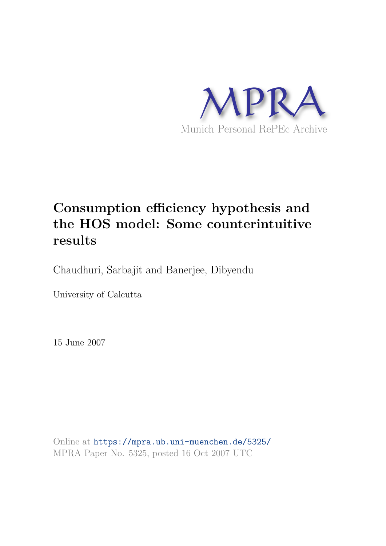

# **Consumption efficiency hypothesis and the HOS model: Some counterintuitive results**

Chaudhuri, Sarbajit and Banerjee, Dibyendu

University of Calcutta

15 June 2007

Online at https://mpra.ub.uni-muenchen.de/5325/ MPRA Paper No. 5325, posted 16 Oct 2007 UTC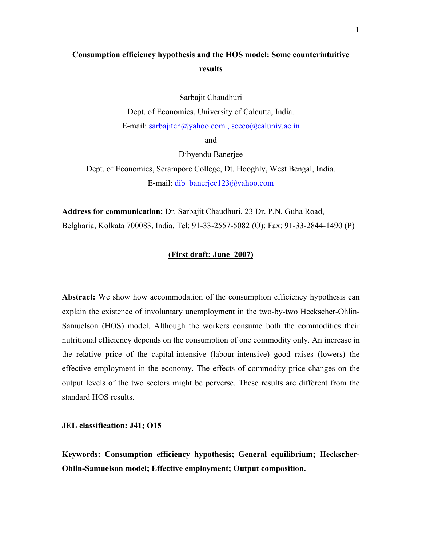# **Consumption efficiency hypothesis and the HOS model: Some counterintuitive results**

Sarbajit Chaudhuri

Dept. of Economics, University of Calcutta, India.

E-mail: sarbajitch@yahoo.com , sceco@caluniv.ac.in

and

Dibyendu Banerjee

Dept. of Economics, Serampore College, Dt. Hooghly, West Bengal, India. E-mail: dib\_banerjee123@yahoo.com

**Address for communication:** Dr. Sarbajit Chaudhuri, 23 Dr. P.N. Guha Road, Belgharia, Kolkata 700083, India. Tel: 91-33-2557-5082 (O); Fax: 91-33-2844-1490 (P)

#### **(First draft: June 2007)**

**Abstract:** We show how accommodation of the consumption efficiency hypothesis can explain the existence of involuntary unemployment in the two-by-two Heckscher-Ohlin-Samuelson (HOS) model. Although the workers consume both the commodities their nutritional efficiency depends on the consumption of one commodity only. An increase in the relative price of the capital-intensive (labour-intensive) good raises (lowers) the effective employment in the economy. The effects of commodity price changes on the output levels of the two sectors might be perverse. These results are different from the standard HOS results.

**JEL classification: J41; O15** 

**Keywords: Consumption efficiency hypothesis; General equilibrium; Heckscher-Ohlin-Samuelson model; Effective employment; Output composition.**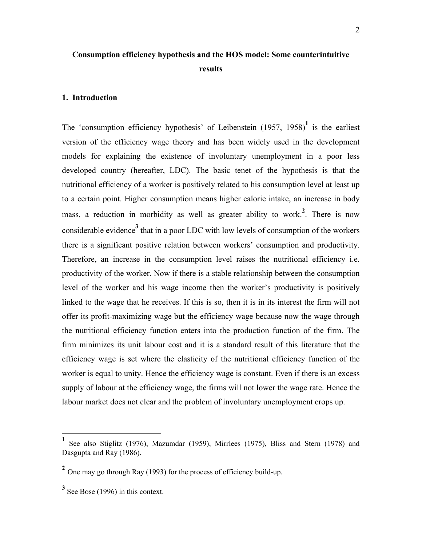# **Consumption efficiency hypothesis and the HOS model: Some counterintuitive results**

#### **1. Introduction**

The 'consumption efficiency hypothesis' of Leibenstein  $(1957, 1958)^1$  is the earliest version of the efficiency wage theory and has been widely used in the development models for explaining the existence of involuntary unemployment in a poor less developed country (hereafter, LDC). The basic tenet of the hypothesis is that the nutritional efficiency of a worker is positively related to his consumption level at least up to a certain point. Higher consumption means higher calorie intake, an increase in body mass, a reduction in morbidity as well as greater ability to work.**<sup>2</sup>** . There is now considerable evidence**<sup>3</sup>** that in a poor LDC with low levels of consumption of the workers there is a significant positive relation between workers' consumption and productivity. Therefore, an increase in the consumption level raises the nutritional efficiency i.e. productivity of the worker. Now if there is a stable relationship between the consumption level of the worker and his wage income then the worker's productivity is positively linked to the wage that he receives. If this is so, then it is in its interest the firm will not offer its profit-maximizing wage but the efficiency wage because now the wage through the nutritional efficiency function enters into the production function of the firm. The firm minimizes its unit labour cost and it is a standard result of this literature that the efficiency wage is set where the elasticity of the nutritional efficiency function of the worker is equal to unity. Hence the efficiency wage is constant. Even if there is an excess supply of labour at the efficiency wage, the firms will not lower the wage rate. Hence the labour market does not clear and the problem of involuntary unemployment crops up.

<u>.</u>

**<sup>1</sup>** See also Stiglitz (1976), Mazumdar (1959), Mirrlees (1975), Bliss and Stern (1978) and Dasgupta and Ray (1986).

<sup>&</sup>lt;sup>2</sup> One may go through Ray (1993) for the process of efficiency build-up.

<sup>&</sup>lt;sup>3</sup> See Bose (1996) in this context.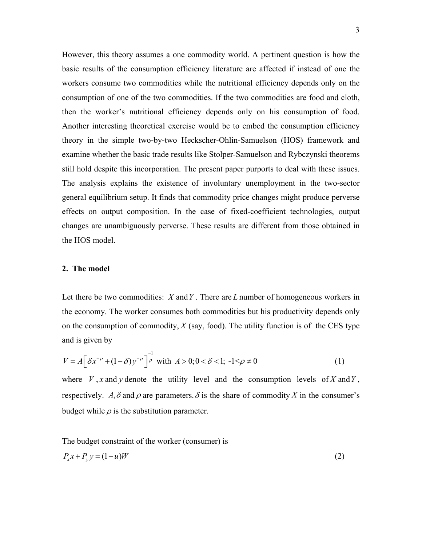However, this theory assumes a one commodity world. A pertinent question is how the basic results of the consumption efficiency literature are affected if instead of one the workers consume two commodities while the nutritional efficiency depends only on the consumption of one of the two commodities. If the two commodities are food and cloth, then the worker's nutritional efficiency depends only on his consumption of food. Another interesting theoretical exercise would be to embed the consumption efficiency theory in the simple two-by-two Heckscher-Ohlin-Samuelson (HOS) framework and examine whether the basic trade results like Stolper-Samuelson and Rybczynski theorems still hold despite this incorporation. The present paper purports to deal with these issues. The analysis explains the existence of involuntary unemployment in the two-sector general equilibrium setup. It finds that commodity price changes might produce perverse effects on output composition. In the case of fixed-coefficient technologies, output changes are unambiguously perverse. These results are different from those obtained in the HOS model.

#### **2. The model**

Let there be two commodities: *X* and*Y* . There are *L* number of homogeneous workers in the economy. The worker consumes both commodities but his productivity depends only on the consumption of commodity,  $X$  (say, food). The utility function is of the CES type and is given by

$$
V = A \left[ \delta x^{-\rho} + (1 - \delta) y^{-\rho} \right]^{-1} \text{ with } A > 0; 0 < \delta < 1; -1 < \rho \neq 0
$$
 (1)

where  $V$ , *x* and *y* denote the utility level and the consumption levels of *X* and *Y*, respectively. *A*,  $\delta$  and  $\rho$  are parameters.  $\delta$  is the share of commodity *X* in the consumer's budget while  $\rho$  is the substitution parameter.

The budget constraint of the worker (consumer) is

$$
P_x x + P_y y = (1 - u)W\tag{2}
$$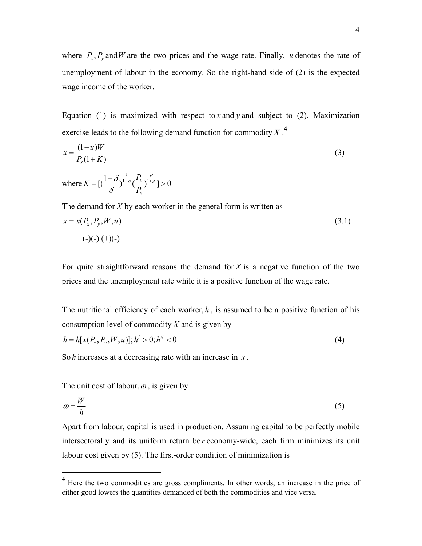where  $P_x$ ,  $P_y$  and *W* are the two prices and the wage rate. Finally, *u* denotes the rate of unemployment of labour in the economy. So the right-hand side of (2) is the expected wage income of the worker.

Equation (1) is maximized with respect to *x* and *y* and subject to (2). Maximization exercise leads to the following demand function for commodity  $X$ .<sup>4</sup>

$$
x = \frac{(1-u)W}{P_x(1+K)}
$$
  
where  $K = [(\frac{1-\delta}{\delta})^{\frac{1}{1+\rho}}(\frac{P_y}{P_x})^{\frac{\rho}{1+\rho}}] > 0$  (3)

The demand for *X* by each worker in the general form is written as

$$
x = x(P_x, P_y, W, u)
$$
  
(-)(-)(+)(-)  
(-)(-) (+)(-)

For quite straightforward reasons the demand for  $X$  is a negative function of the two prices and the unemployment rate while it is a positive function of the wage rate.

The nutritional efficiency of each worker,  $h$ , is assumed to be a positive function of his consumption level of commodity *X* and is given by

$$
h = h[x(P_x, P_y, W, u)]; h' > 0; h'' < 0
$$
\n<sup>(4)</sup>

So *h* increases at a decreasing rate with an increase in *x* .

The unit cost of labour,  $\omega$ , is given by

 $\overline{a}$ 

$$
\omega = \frac{W}{h} \tag{5}
$$

Apart from labour, capital is used in production. Assuming capital to be perfectly mobile intersectorally and its uniform return be *r* economy-wide, each firm minimizes its unit labour cost given by (5). The first-order condition of minimization is

**<sup>4</sup>** Here the two commodities are gross compliments. In other words, an increase in the price of either good lowers the quantities demanded of both the commodities and vice versa.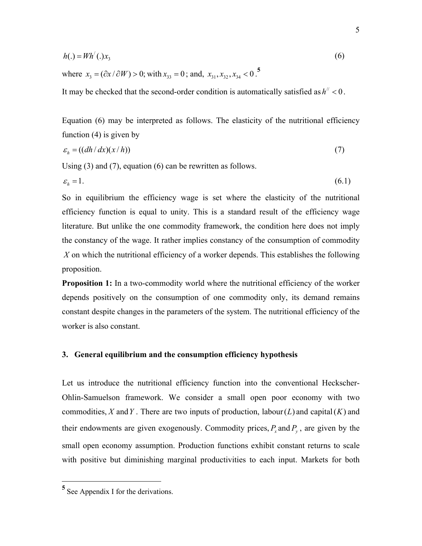$$
h(.) = Wh'(.)x_3 \tag{6}
$$

where  $x_3 = (\partial x / \partial W) > 0$ ; with  $x_{33} = 0$ ; and,  $x_{31}, x_{32}, x_{34} < 0$ .<sup>5</sup>

It may be checked that the second-order condition is automatically satisfied as  $h'' < 0$ .

Equation (6) may be interpreted as follows. The elasticity of the nutritional efficiency function (4) is given by

$$
\varepsilon_h = ((dh/dx)(x/h))\tag{7}
$$

Using (3) and (7), equation (6) can be rewritten as follows.

$$
\varepsilon_h = 1. \tag{6.1}
$$

So in equilibrium the efficiency wage is set where the elasticity of the nutritional efficiency function is equal to unity. This is a standard result of the efficiency wage literature. But unlike the one commodity framework, the condition here does not imply the constancy of the wage. It rather implies constancy of the consumption of commodity *X* on which the nutritional efficiency of a worker depends. This establishes the following proposition.

**Proposition 1:** In a two-commodity world where the nutritional efficiency of the worker depends positively on the consumption of one commodity only, its demand remains constant despite changes in the parameters of the system. The nutritional efficiency of the worker is also constant.

## **3. General equilibrium and the consumption efficiency hypothesis**

Let us introduce the nutritional efficiency function into the conventional Heckscher-Ohlin-Samuelson framework. We consider a small open poor economy with two commodities, X and Y. There are two inputs of production, labour( $L$ ) and capital( $K$ ) and their endowments are given exogenously. Commodity prices,  $P_x$  and  $P_y$ , are given by the small open economy assumption. Production functions exhibit constant returns to scale with positive but diminishing marginal productivities to each input. Markets for both

 $\overline{a}$ 

**<sup>5</sup>** See Appendix I for the derivations.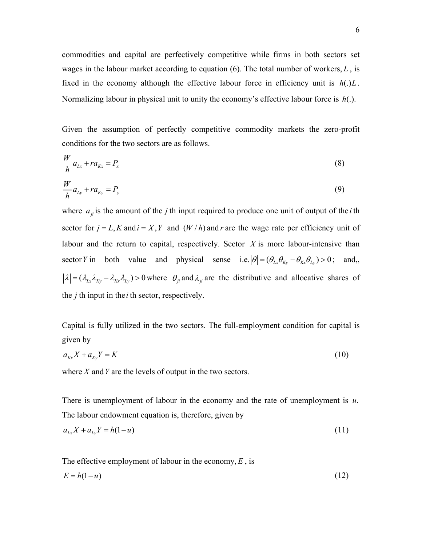commodities and capital are perfectively competitive while firms in both sectors set wages in the labour market according to equation (6). The total number of workers, *L* , is fixed in the economy although the effective labour force in efficiency unit is  $h(.)L$ . Normalizing labour in physical unit to unity the economy's effective labour force is *h*(.).

Given the assumption of perfectly competitive commodity markets the zero-profit conditions for the two sectors are as follows.

$$
\frac{W}{h}a_{Lx} + ra_{Kx} = P_x \tag{8}
$$

$$
\frac{W}{h}a_{Ly} + ra_{ky} = P_y \tag{9}
$$

where  $a_{ji}$  is the amount of the *j* th input required to produce one unit of output of the *i* th sector for  $j = L, K$  and  $i = X, Y$  and  $(W/h)$  and r are the wage rate per efficiency unit of labour and the return to capital, respectively. Sector *X* is more labour-intensive than sector *Y* in both value and physical sense i.e.  $|\theta| = (\theta_{Lx} \theta_{Ky} - \theta_{Kx} \theta_{Ly}) > 0$ ; and,,  $|\lambda| = (\lambda_{Lx} \lambda_{ky} - \lambda_{kx} \lambda_{Ly}) > 0$  where  $\theta_{ji}$  and  $\lambda_{ji}$  are the distributive and allocative shares of the *j* th input in the *i* th sector, respectively.

Capital is fully utilized in the two sectors. The full-employment condition for capital is given by

$$
a_{kx}X + a_{ky}Y = K \tag{10}
$$

where *X* and*Y* are the levels of output in the two sectors.

There is unemployment of labour in the economy and the rate of unemployment is *u*. The labour endowment equation is, therefore, given by

$$
a_{Lx}X + a_{Ly}Y = h(1 - u)
$$
\n(11)

The effective employment of labour in the economy,  $E$ , is  $E = h(1 - u)$  (12)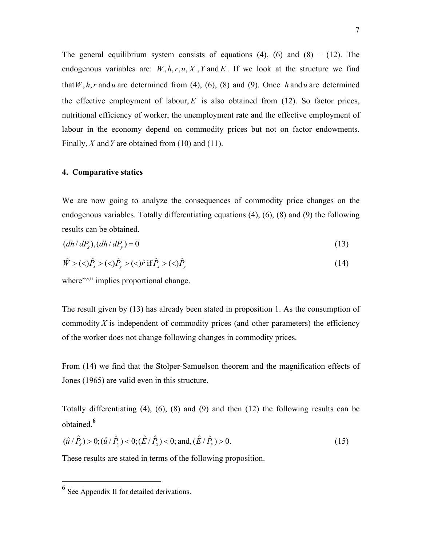The general equilibrium system consists of equations  $(4)$ ,  $(6)$  and  $(8) - (12)$ . The endogenous variables are:  $W, h, r, u, X, Y$  and  $E$ . If we look at the structure we find that  $W, h, r$  and u are determined from (4), (6), (8) and (9). Once h and u are determined the effective employment of labour,  $E$  is also obtained from  $(12)$ . So factor prices, nutritional efficiency of worker, the unemployment rate and the effective employment of labour in the economy depend on commodity prices but not on factor endowments. Finally, *X* and*Y* are obtained from (10) and (11).

#### **4. Comparative statics**

We are now going to analyze the consequences of commodity price changes on the endogenous variables. Totally differentiating equations (4), (6), (8) and (9) the following results can be obtained.

$$
(dh/dP_x), (dh/dP_y) = 0 \tag{13}
$$

$$
\hat{W} > (\langle \hat{P}_x > (\langle \hat{P}_y > (\langle \hat{r} \text{ if } \hat{P}_x > (\langle \hat{P}_y \rangle \text{)}(14))
$$

where"<sup> $\wedge$ " implies proportional change.</sup>

The result given by (13) has already been stated in proposition 1. As the consumption of commodity  $X$  is independent of commodity prices (and other parameters) the efficiency of the worker does not change following changes in commodity prices.

From (14) we find that the Stolper-Samuelson theorem and the magnification effects of Jones (1965) are valid even in this structure.

Totally differentiating (4), (6), (8) and (9) and then (12) the following results can be obtained.**<sup>6</sup>**

$$
(\hat{u} \,|\, \hat{P}_x) > 0; \quad (\hat{u} \,|\, \hat{P}_y) < 0; \quad (\hat{E} \,|\, \hat{P}_x) < 0; \text{ and, } (\hat{E} \,|\, \hat{P}_y) > 0. \tag{15}
$$

These results are stated in terms of the following proposition.

 $\overline{a}$ 

**<sup>6</sup>** See Appendix II for detailed derivations.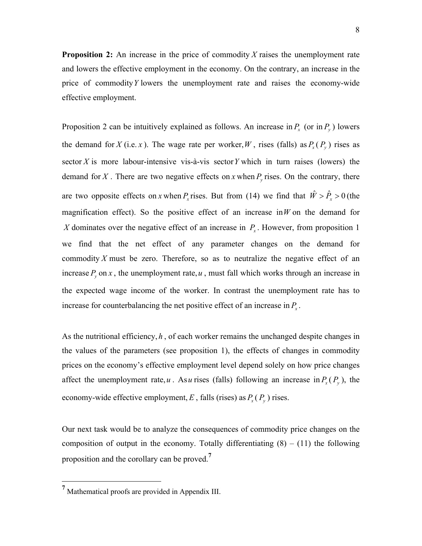**Proposition 2:** An increase in the price of commodity *X* raises the unemployment rate and lowers the effective employment in the economy. On the contrary, an increase in the price of commodity*Y* lowers the unemployment rate and raises the economy-wide effective employment.

Proposition 2 can be intuitively explained as follows. An increase in  $P_x$  (or in  $P_y$ ) lowers the demand for *X* (i.e. *x*). The wage rate per worker, *W*, rises (falls) as  $P_x(P_y)$  rises as sector *X* is more labour-intensive vis-à-vis sector*Y* which in turn raises (lowers) the demand for *X*. There are two negative effects on *x* when  $P_y$  rises. On the contrary, there are two opposite effects on *x* when  $P_x$  rises. But from (14) we find that  $\hat{W} > \hat{P}_x > 0$  (the magnification effect). So the positive effect of an increase in  $W$  on the demand for *X* dominates over the negative effect of an increase in *P<sup>x</sup>* . However, from proposition 1 we find that the net effect of any parameter changes on the demand for commodity  $X$  must be zero. Therefore, so as to neutralize the negative effect of an increase  $P_y$  on *x*, the unemployment rate, *u*, must fall which works through an increase in the expected wage income of the worker. In contrast the unemployment rate has to increase for counterbalancing the net positive effect of an increase in *P<sup>x</sup>* .

As the nutritional efficiency, *h* , of each worker remains the unchanged despite changes in the values of the parameters (see proposition 1), the effects of changes in commodity prices on the economy's effective employment level depend solely on how price changes affect the unemployment rate, *u*. As *u* rises (falls) following an increase in  $P_x(P_y)$ , the economy-wide effective employment,  $E$ , falls (rises) as  $P_x(P_y)$  rises.

Our next task would be to analyze the consequences of commodity price changes on the composition of output in the economy. Totally differentiating  $(8) - (11)$  the following proposition and the corollary can be proved.**<sup>7</sup>**

<u>.</u>

**<sup>7</sup>** Mathematical proofs are provided in Appendix III.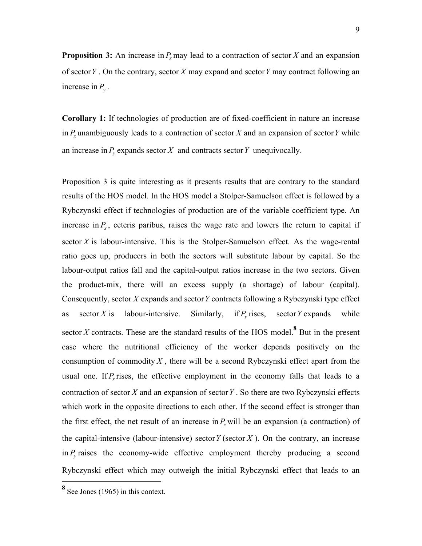**Proposition 3:** An increase in  $P$ <sub>x</sub> may lead to a contraction of sector *X* and an expansion of sector*Y* . On the contrary, sector *X* may expand and sector*Y* may contract following an increase in  $P_y$ .

**Corollary 1:** If technologies of production are of fixed-coefficient in nature an increase in  $P_x$  unambiguously leads to a contraction of sector *X* and an expansion of sector *Y* while an increase in  $P_y$  expands sector  $X$  and contracts sector  $Y$  unequivocally.

Proposition 3 is quite interesting as it presents results that are contrary to the standard results of the HOS model. In the HOS model a Stolper-Samuelson effect is followed by a Rybczynski effect if technologies of production are of the variable coefficient type. An increase in  $P<sub>x</sub>$ , ceteris paribus, raises the wage rate and lowers the return to capital if sector  $X$  is labour-intensive. This is the Stolper-Samuelson effect. As the wage-rental ratio goes up, producers in both the sectors will substitute labour by capital. So the labour-output ratios fall and the capital-output ratios increase in the two sectors. Given the product-mix, there will an excess supply (a shortage) of labour (capital). Consequently, sector *X* expands and sector*Y* contracts following a Rybczynski type effect as sector  $X$  is labour-intensive. *y* rises, sector*Y* expands while sector *X* contracts. These are the standard results of the HOS model.<sup>8</sup> But in the present case where the nutritional efficiency of the worker depends positively on the consumption of commodity *X* , there will be a second Rybczynski effect apart from the usual one. If  $P_x$  rises, the effective employment in the economy falls that leads to a contraction of sector *X* and an expansion of sector*Y* . So there are two Rybczynski effects which work in the opposite directions to each other. If the second effect is stronger than the first effect, the net result of an increase in  $P<sub>x</sub>$  will be an expansion (a contraction) of the capital-intensive (labour-intensive) sector  $Y$  (sector  $X$ ). On the contrary, an increase in  $P_y$  raises the economy-wide effective employment thereby producing a second Rybczynski effect which may outweigh the initial Rybczynski effect that leads to an

 $\overline{a}$ 

**<sup>8</sup>** See Jones (1965) in this context.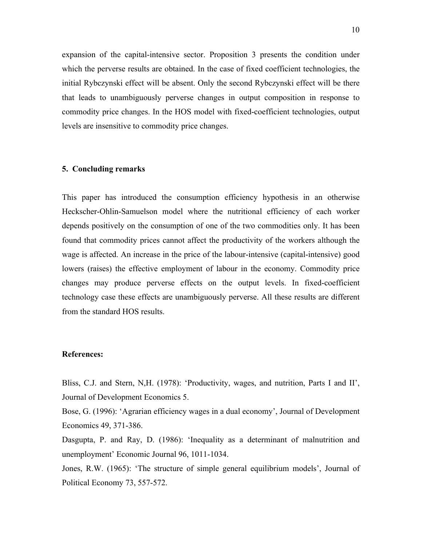expansion of the capital-intensive sector. Proposition 3 presents the condition under which the perverse results are obtained. In the case of fixed coefficient technologies, the initial Rybczynski effect will be absent. Only the second Rybczynski effect will be there that leads to unambiguously perverse changes in output composition in response to commodity price changes. In the HOS model with fixed-coefficient technologies, output levels are insensitive to commodity price changes.

#### **5. Concluding remarks**

This paper has introduced the consumption efficiency hypothesis in an otherwise Heckscher-Ohlin-Samuelson model where the nutritional efficiency of each worker depends positively on the consumption of one of the two commodities only. It has been found that commodity prices cannot affect the productivity of the workers although the wage is affected. An increase in the price of the labour-intensive (capital-intensive) good lowers (raises) the effective employment of labour in the economy. Commodity price changes may produce perverse effects on the output levels. In fixed-coefficient technology case these effects are unambiguously perverse. All these results are different from the standard HOS results.

#### **References:**

Bliss, C.J. and Stern, N,H. (1978): 'Productivity, wages, and nutrition, Parts I and II', Journal of Development Economics 5.

Bose, G. (1996): 'Agrarian efficiency wages in a dual economy', Journal of Development Economics 49, 371-386.

Dasgupta, P. and Ray, D. (1986): 'Inequality as a determinant of malnutrition and unemployment' Economic Journal 96, 1011-1034.

Jones, R.W. (1965): 'The structure of simple general equilibrium models', Journal of Political Economy 73, 557-572.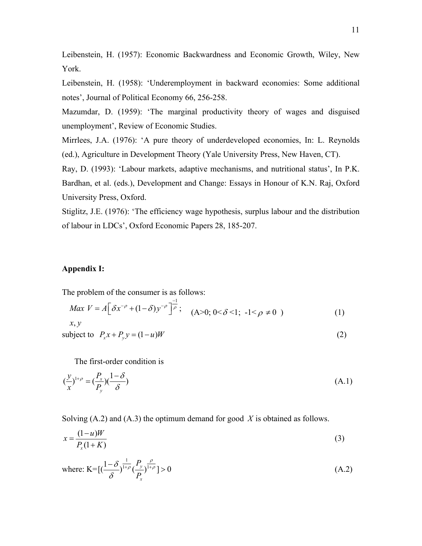Leibenstein, H. (1957): Economic Backwardness and Economic Growth, Wiley, New York.

Leibenstein, H. (1958): 'Underemployment in backward economies: Some additional notes', Journal of Political Economy 66, 256-258.

Mazumdar, D. (1959): 'The marginal productivity theory of wages and disguised unemployment', Review of Economic Studies.

Mirrlees, J.A. (1976): 'A pure theory of underdeveloped economies, In: L. Reynolds (ed.), Agriculture in Development Theory (Yale University Press, New Haven, CT).

Ray, D. (1993): 'Labour markets, adaptive mechanisms, and nutritional status', In P.K. Bardhan, et al. (eds.), Development and Change: Essays in Honour of K.N. Raj, Oxford University Press, Oxford.

Stiglitz, J.E. (1976): 'The efficiency wage hypothesis, surplus labour and the distribution of labour in LDCs', Oxford Economic Papers 28, 185-207.

## **Appendix I:**

The problem of the consumer is as follows:

$$
Max V = A \left[ \delta x^{-\rho} + (1 - \delta) y^{-\rho} \right]^{-\frac{1}{\rho}}; \quad (A > 0; 0 < \delta < 1; -1 < \rho \neq 0 )
$$
 (1)  
 $x, y$ 

subject to  $P_x x + P_y y = (1 - u)W$  (2)

The first-order condition is

$$
\left(\frac{y}{x}\right)^{1+\rho} = \left(\frac{P_x}{P_y}\right)\left(\frac{1-\delta}{\delta}\right) \tag{A.1}
$$

Solving (A.2) and (A.3) the optimum demand for good *X* is obtained as follows.

$$
x = \frac{(1-u)W}{P_x(1+K)}\tag{3}
$$

where: 
$$
K = [(\frac{1-\delta}{\delta})^{\frac{1}{1+\rho}} (\frac{P_y}{P_x})^{\frac{\rho}{1+\rho}}] > 0
$$
 (A.2)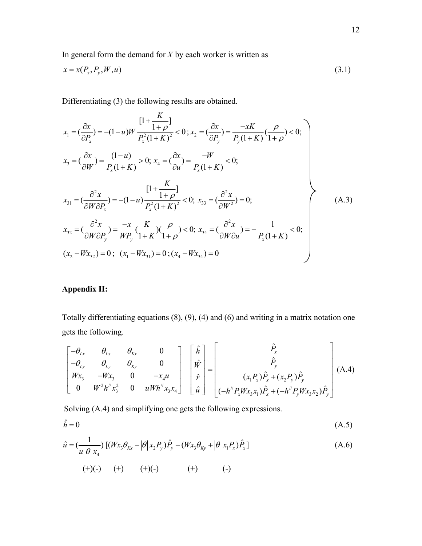In general form the demand for  $X$  by each worker is written as

$$
x = x(P_x, P_y, W, u) \tag{3.1}
$$

Differentiating (3) the following results are obtained.

$$
x_{1} = \left(\frac{\partial x}{\partial P_{x}}\right) = -(1 - u)W \frac{\left[1 + \frac{K}{1 + \rho}\right]}{P_{x}^{2}(1 + K)^{2}} < 0; x_{2} = \left(\frac{\partial x}{\partial P_{y}}\right) = \frac{-xK}{P_{y}(1 + K)} \left(\frac{\rho}{1 + \rho}\right) < 0;
$$
  
\n
$$
x_{3} = \left(\frac{\partial x}{\partial W}\right) = \frac{(1 - u)}{P_{x}(1 + K)} > 0; x_{4} = \left(\frac{\partial x}{\partial u}\right) = \frac{-W}{P_{x}(1 + K)} < 0;
$$
  
\n
$$
x_{31} = \left(\frac{\partial^{2} x}{\partial W \partial P_{x}}\right) = -(1 - u) \frac{\left[1 + \frac{K}{1 + \rho}\right]}{P_{x}^{2}(1 + K)^{2}} < 0; x_{33} = \left(\frac{\partial^{2} x}{\partial W^{2}}\right) = 0;
$$
  
\n
$$
x_{32} = \left(\frac{\partial^{2} x}{\partial W \partial P_{y}}\right) = \frac{-x}{WP_{y}} \left(\frac{K}{1 + K}\right) \left(\frac{\rho}{1 + \rho}\right) < 0; x_{34} = \left(\frac{\partial^{2} x}{\partial W \partial u}\right) = -\frac{1}{P_{x}(1 + K)} < 0;
$$
  
\n
$$
(x_{2} - Wx_{32}) = 0; (x_{1} - Wx_{31}) = 0; (x_{4} - Wx_{34}) = 0
$$
  
\n(4.3)

## **Appendix II:**

Totally differentiating equations (8), (9), (4) and (6) and writing in a matrix notation one gets the following.

$$
\begin{bmatrix}\n-\theta_{Lx} & \theta_{Lx} & \theta_{Kx} & 0 \\
-\theta_{Ly} & \theta_{Ly} & \theta_{Ky} & 0 \\
Wx_3 & -Wx_3 & 0 & -x_4u \\
0 & W^2h''x_3^2 & 0 & uWh''x_3x_4\n\end{bmatrix}\n\begin{bmatrix}\n\hat{h} \\
\hat{W} \\
\hat{r} \\
\hat{u}\n\end{bmatrix} = \begin{bmatrix}\n\hat{P}_x \\
\hat{P}_y \\
(x_1P_x)\hat{P}_x + (x_2P_y)\hat{P}_y \\
(-h''P_xWx_3x_1)\hat{P}_x + (-h''P_yWx_3x_2)\hat{P}_y\n\end{bmatrix}
$$
\n(A.4)

Solving (A.4) and simplifying one gets the following expressions.

$$
\hat{h} = 0 \tag{A.5}
$$

$$
\hat{u} = \left(\frac{1}{u|\theta|x_4}\right) \left[ \left(Wx_3\theta_{Kx} - |\theta|x_2P_y\right)\hat{P}_y - \left(Wx_3\theta_{Ky} + |\theta|x_1P_x\right)\hat{P}_x \right]
$$
\n
$$
(+)(-)\qquad (+)\qquad (+)(-)\qquad (+)\qquad (-)
$$
\n(A.6)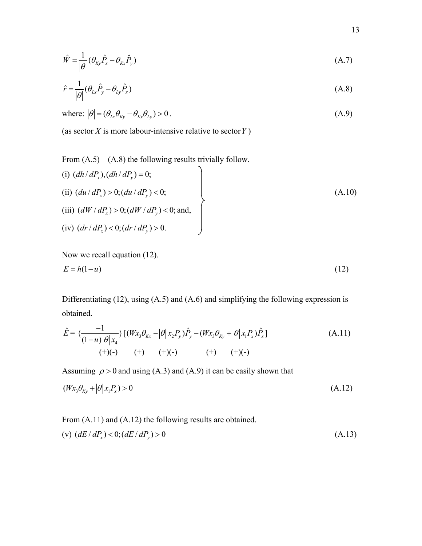$$
\hat{W} = \frac{1}{|\theta|} (\theta_{\kappa y} \hat{P}_x - \theta_{\kappa x} \hat{P}_y)
$$
\n(A.7)

$$
\hat{r} = \frac{1}{|\theta|} (\theta_{Lx} \hat{P}_y - \theta_{Ly} \hat{P}_x)
$$
\n(A.8)

where:  $|\theta| = (\theta_{Lx}\theta_{ky} - \theta_{kx}\theta_{Ly}) > 0$ . (A.9)

(as sector *X* is more labour-intensive relative to sector*Y* )

From  $(A.5) - (A.8)$  the following results trivially follow.

(i) 
$$
(dh/dP_x)
$$
,  $(dh/dP_y) = 0$ ;  
\n(ii)  $(du/dP_x) > 0$ ;  $(du/dP_y) < 0$ ;  
\n(iii)  $(dW/dP_x) > 0$ ;  $(dW/dP_y) < 0$ ; and,  
\n(iv)  $(dr/dP_x) < 0$ ;  $(dr/dP_y) > 0$ . (A.10)

Now we recall equation (12).

$$
E = h(1 - u) \tag{12}
$$

Differentiating (12), using (A.5) and (A.6) and simplifying the following expression is obtained.

$$
\hat{E} = \{ \frac{-1}{(1-u)|\theta|x_4} \} \left[ (Wx_3 \theta_{Kx} - |\theta| x_2 P_y) \hat{P}_y - (Wx_3 \theta_{Ky} + |\theta| x_1 P_x) \hat{P}_x \right] \tag{A.11}
$$
\n
$$
(+)(-) \qquad (+) \qquad (+)(-) \qquad (+) \qquad (+) (-)
$$

Assuming  $\rho > 0$  and using (A.3) and (A.9) it can be easily shown that

$$
(Wx_3\theta_{ky} + |\theta|x_1P_x) > 0\tag{A.12}
$$

From (A.11) and (A.12) the following results are obtained.

(v) 
$$
(dE/dP_x) < 0
$$
;  $(dE/dP_y) > 0$  (A.13)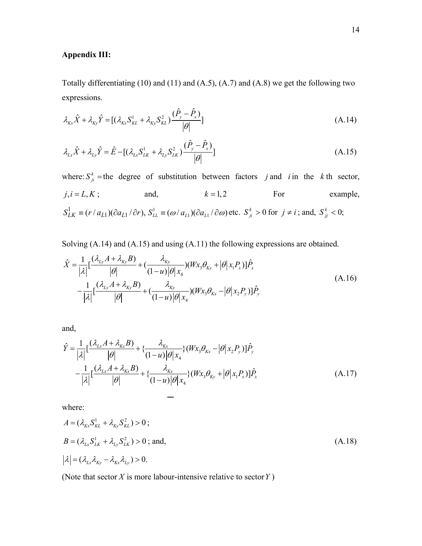# **Appendix III:**

Totally differentiating (10) and (11) and (A.5), (A.7) and (A.8) we get the following two expressions.

$$
\lambda_{Kx}\hat{X} + \lambda_{Ky}\hat{Y} = [(\lambda_{Kx}S_{KL}^1 + \lambda_{Ky}S_{KL}^2)\frac{(\hat{P}_y - \hat{P}_x)}{|\theta|}]
$$
(A.14)

$$
\lambda_{Lx}\hat{X} + \lambda_{Ly}\hat{Y} = \hat{E} - [(\lambda_{Lx}S_{LK}^{1} + \lambda_{Ly}S_{LK}^{2})\frac{(\hat{P}_{y} - \hat{P}_{x})}{|\theta|}]
$$
\n(A.15)

where:  $S_{ji}^k$  = the degree of substitution between factors *j* and *i* in the *k* th sector,  $j, i = L, K;$  and,  $k = 1, 2$  For example,  $S_{LK}^1 \equiv (r/a_{L1})(\partial a_{L1}/\partial r), S_{LL}^1 \equiv (\omega/a_{L1})(\partial a_{L1}/\partial \omega)$  etc.  $S_{ji}^k > 0$  for  $j \neq i$ ; and,  $S_{jj}^k < 0$ ;

Solving (A.14) and (A.15) and using (A.11) the following expressions are obtained.

$$
\hat{X} = \frac{1}{|\lambda|} \left[ \frac{(\lambda_{L_y} A + \lambda_{K_y} B)}{|\theta|} + \frac{(\lambda_{K_y} A + \lambda_{K_y} B)}{(1 - u)|\theta| x_4} \right] (W x_3 \theta_{K_y} + |\theta| x_1 P_x) \hat{P}_x
$$
\n
$$
-\frac{1}{|\lambda|} \left[ \frac{(\lambda_{L_y} A + \lambda_{K_y} B)}{|\theta|} + \frac{(\lambda_{K_y} A + \lambda_{K_y} B)}{(1 - u)|\theta| x_4} \right] (W x_3 \theta_{K_x} - |\theta| x_2 P_y) \hat{P}_y
$$
\n(A.16)

and,

$$
\hat{Y} = \frac{1}{|\lambda|} \left[ \frac{(\lambda_{Lx} A + \lambda_{Kx} B)}{|\theta|} + \left\{ \frac{\lambda_{Kx}}{(1-u)|\theta| x_4} \right\} (W x_3 \theta_{Kx} - |\theta| x_2 P_y) \right] \hat{P}_y
$$
\n
$$
- \frac{1}{|\lambda|} \left[ \frac{(\lambda_{Lx} A + \lambda_{Kx} B)}{|\theta|} + \left\{ \frac{\lambda_{Kx}}{(1-u)|\theta| x_4} \right\} (W x_3 \theta_{Ky} + |\theta| x_1 P_x) \right] \hat{P}_x \tag{A.17}
$$

where:

$$
A = (\lambda_{Kx} S_{KL}^1 + \lambda_{Ky} S_{KL}^2) > 0;
$$
  
\n
$$
B = (\lambda_{Lx} S_{LK}^1 + \lambda_{Ly} S_{LK}^2) > 0;
$$
 and,  
\n
$$
|\lambda| = (\lambda_{Lx} \lambda_{Ky} - \lambda_{Kx} \lambda_{Ly}) > 0.
$$
 (A.18)

(Note that sector *X* is more labour-intensive relative to sector*Y* )